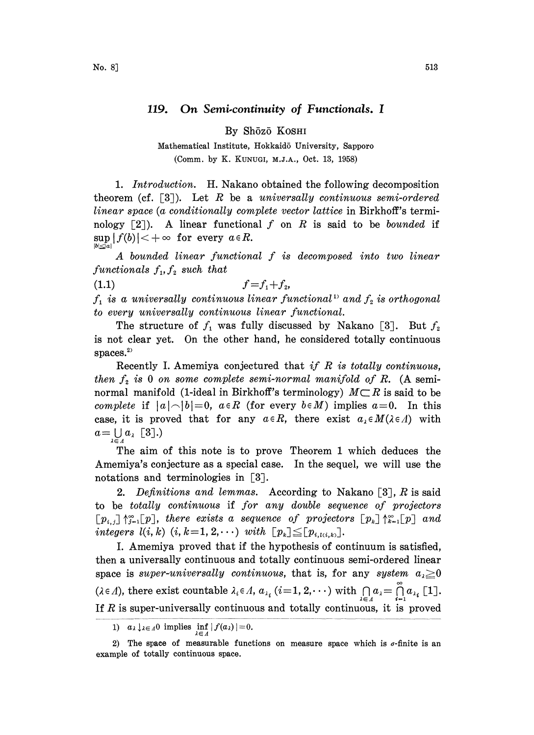## 119. On Semi-continuity of Functionals. I

By Shōzō KOSHI

Mathematical Institute, Hokkaidō University, Sapporo (Comm. by K. KUNUGI, M.J.A., Oct. 13, 1958)

1. Introduction. H. Nakano obtained the following decomposition theorem (cf.  $\lceil 3 \rceil$ ). Let R be a universally continuous semi-ordered linear space (a conditionally complete vector lattice in Birkhoff's terminology  $\lceil 2 \rceil$ ). A linear functional f on R is said to be *bounded* if  $\sup |f(b)| < +\infty$  for every  $a \in R$ .

A bounded linear functional f is decomposed into two linear functionals  $f_1, f_2$  such that

(1.1)  $f=f_1+f_2,$ 

 $f_1$  is a universally continuous linear functional<sup>11</sup> and  $f_2$  is orthogonal to every universally continuous linear functional.

The structure of  $f_1$  was fully discussed by Nakano [3]. But  $f_2$ is not clear yet. On the other hand, he considered totally continuous spaces. $2$ 

Recently I. Amemiya conjectured that if  $R$  is totally continuous, then  $f_2$  is 0 on some complete semi-normal manifold of R. (A semi-normal manifold (1-ideal in Birkhoff's terminology)  $M \subset R$  is said to be complete if  $\lfloor f_1 \rfloor$  is  $\lfloor f_2 \rfloor$  is  $\lfloor f_3 \rfloor$  in the complete  $M$ ) invol complete if  $|a|<|b|=0$ ,  $a \in R$  (for every  $b \in M$ ) implies  $a=0$ . In this case, it is proved that for any  $a \in R$ , there exist  $a_{\lambda} \in M(\lambda \in \Lambda)$  with  $a=\bigcup_{\lambda\in\Lambda}a_{\lambda}$  [3].)

The aim of this note is to prove Theorem 1 which deduces the Amemiya's conjecture as a special case. In the sequel, we will use the notations and terminologies in [3].

2. Definitions and lemmas. According to Nakano [3], R is said to be totally continuous if for any double sequence of projectors  $[p_{i,j}] \uparrow_{i=1}^{\infty} [p]$ , there exists a sequence of projectors  $[p_k] \uparrow_{k=1}^{\infty} [p]$  and integers  $l(i, k)$   $(i, k = 1, 2, \cdots)$  with  $[p_k] \leq [p_{i, l(i, k)}].$ 

I. Amemiya proved that if the hypothesis of continuum is satisfied, then a universally continuous and totally continuous semi-ordered linear space is super-universally continuous, that is, for any system  $a_i \geq 0$  $(\lambda \in \Lambda)$ , there exist countable  $\lambda_i \in \Lambda$ ,  $a_{\lambda_i}$   $(i=1, 2, \dots)$  with  $\bigcap_{\lambda \in \Lambda} a_{\lambda} = \bigcap_{i=1}^{\infty} a_{\lambda_i}$  [1]. If  $R$  is super-universally continuous and totally continuous, it is proved

<sup>1)</sup>  $a_{\lambda} \downarrow_{\lambda \in \Lambda} 0$  implies  $\inf_{\lambda \in \Lambda} |f(a_{\lambda})| = 0.$ 

<sup>2)</sup> The space of measurable functions on measure space which is  $\sigma$ -finite is an example of totally continuous space.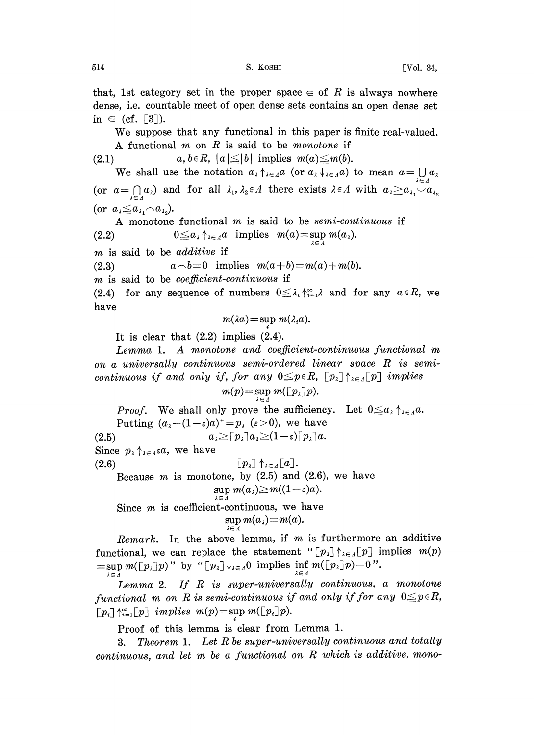that, 1st category set in the proper space  $\in$  of R is always nowhere dense, i.e. countable meet of open dense sets contains an open dense set in  $\in$  (cf. [3]).

We suppose that any functional in this paper is finite real-valued. A functional  $m$  on  $R$  is said to be *monotone* if

(2.1)  $a, b \in R$ ,  $|a| \leq |b|$  implies  $m(a) \leq m(b)$ .

We shall use the notation  $a_{\lambda} \uparrow_{\lambda \in \Lambda} a$  (or  $a_{\lambda} \downarrow_{\lambda \in \Lambda} a$ ) to mean  $a = \bigcup a_{\lambda}$ (or  $a=\bigcap_{\lambda\in\Lambda}a_{\lambda}$ ) and for all  $\lambda_1,\lambda_2\in\Lambda$  there exists  $\lambda\in\Lambda$  with  $a_{\lambda}\geq a_{\lambda_1}\setminus a_{\lambda_2}$ (or  $a_{\lambda} \leq a_{\lambda_1} \cap a_{\lambda_2}$ ).

A monotone functional m is said to be semi-continuous if (2.2)  $0 \leq a_{\lambda} \uparrow_{\lambda \in \Lambda} a$  implies  $m(a) = \sup_{\lambda \in \Lambda} m(a_{\lambda}).$ 

m is said to be additive if

(2.3)  $a \neg b=0$  implies  $m(a+b)=m(a)+m(b)$ .

m is said to be *coefficient-continuous* if

(2.4) for any sequence of numbers  $0 \leq \lambda_i \uparrow_{i=1}^{\infty} \lambda_i$  and for any  $a \in R$ , we have

$$
m(\lambda a) = \sup m(\lambda_i a).
$$

It is clear that (2.2) implies (2.4).

Lemma 1. A monotone and coefficient-continuous functional m on <sup>a</sup> universally continuous semi-ordered linear space R is semicontinuous if and only if, for any  $0 \leq p \in R$ ,  $[p_1] \uparrow_{\lambda \in A} [p]$  implies

$$
m(p) = \sup_{\lambda \in \Lambda} m(\lfloor p_{\lambda} \rfloor p).
$$

*Proof.* We shall only prove the sufficiency. Let  $0 \leq a_i$ Putting  $(a_i-(1-\varepsilon)a)^+=p_i$  ( $\varepsilon>0$ ), we have (2.5)  $a_{\lambda} \geq [p_{\lambda}] a_{\lambda} \geq (1-\varepsilon) [p_{\lambda}] a.$ 

Since  $p_{\lambda} \uparrow_{\lambda \in \Lambda} \varepsilon a$ , we have

(2.6)  $\left[p_{\lambda}\right] \uparrow_{\lambda \in \Lambda} \left[a\right].$ Because  $m$  is monotone, by  $(2.5)$  and  $(2.6)$ , we have  $\sup m(a_\lambda) \geq m((1-\varepsilon)a)$ .

 $\lambda \in \overline{\Lambda}$ Since  $m$  is coefficient-continuous, we have  $\sup_{\lambda \in \Lambda} m(a_{\lambda}) = m(a).$ 

Remark. In the above lemma, if  $m$  is furthermore an additive functional, we can replace the statement " $[p_{\lambda}] \uparrow_{\lambda \in \Lambda} [p]$  implies  $m(p)$  $=\sup_{\lambda\in\Lambda}m(\lfloor p_{\lambda}\rfloor p)$ " by " $\lfloor p_{\lambda}\rfloor\downarrow_{\lambda\in\Lambda}0$  implies  $\inf_{\lambda\in\Lambda}m(\lfloor p_{\lambda}\rfloor p)=0$ ".

Lemma 2. If R is super-universally continuous, <sup>a</sup> monotone functional m on R is semi-continuous if and only if for any  $0 \leq p \in R$ ,  $[p_i] \uparrow_{i=1}^{\infty} [p]$  implies  $m(p) = \sup m(\lfloor p_i \rfloor p)$ .

Proof of this lemma is clear from Lemma 1.

3. Theorem 1. Let R be super-universally continuous and totally continuous, and let m be <sup>a</sup> functional on R which is additive, mono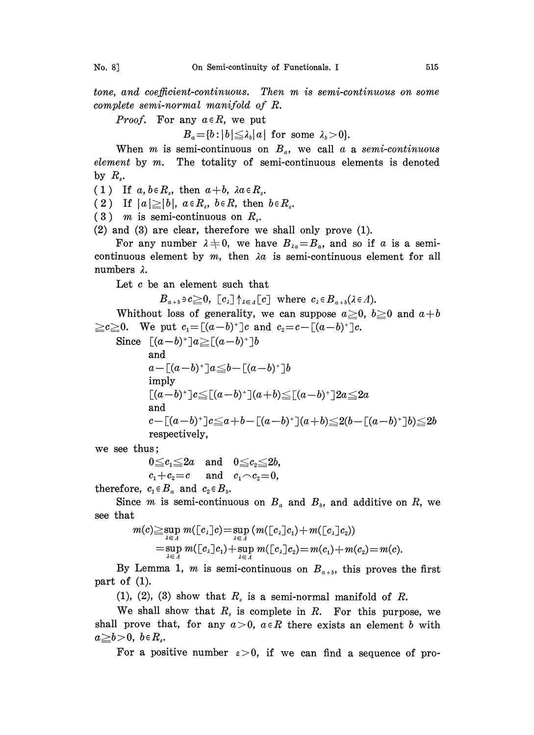tone, and coefficient-continuous. Then m is semi-continuous on some complete semi-normal manifold of R.

*Proof.* For any  $a \in R$ , we put

 $B_{a} = \{b : |b| \leq \lambda_{b} |a| \text{ for some } \lambda_{b} > 0\}.$ 

When m is semi-continuous on  $B_a$ , we call a a semi-continuous element by  $m$ . The totality of semi-continuous elements is denoted by  $R_s$ .

(1) If  $a, b \in R_s$ , then  $a+b$ ,  $\lambda a \in R_s$ .

(2) If  $|a| \geq |b|$ ,  $a \in R_s$ ,  $b \in R_s$ , then  $b \in R_s$ .

 $(3)$  m is semi-continuous on  $R_s$ .

(2) and (3) are clear, therefore we shall only prove (1).

For any number  $\lambda \neq 0$ , we have  $B_{\lambda a} = B_a$ , and so if a is a semicontinuous element by  $m$ , then  $\lambda a$  is semi-continuous element for all numbers  $\lambda$ .

Let c be an element such that

 $B_{a+b} \ni c \geq 0$ ,  $[c_{\lambda}] \uparrow_{\lambda \in A} [c]$  where  $c_{\lambda} \in B_{a+b}(\lambda \in \Lambda)$ .

Whithout loss of generality, we can suppose  $a\geq 0$ ,  $b\geq 0$  and  $a+b$  $\geq c \geq 0$ . We put  $c_1 = [(a-b)^+]c$  and  $c_2 = c - [(a-b)^+]c$ .

Since 
$$
[(a-b)^+]a \geq [(a-b)^+]b
$$
  
\nand  
\n $a - [(a-b)^+]a \leq b - [(a-b)^+]b$   
\nimply  
\n $[(a-b)^+]c \leq [(a-b)^+](a+b) \leq [(a-b)^+]2a \leq 2a$   
\nand  
\n $c - [(a-b)^+]c \leq a+b-[(a-b)^+](a+b) \leq 2(b-[(a-b)^+]b) \leq 2b$   
\nrespectively,

we see thus;

 $0 \leq c_1 \leq 2a$  and  $0 \leq c_2 \leq 2b$ ,  $c_1+c_2=c$  and  $c_1\widehat{\phantom{\alpha}} c_2=0$ ,

therefore,  $c_1 \in B_a$  and  $c_2 \in B_b$ .

Since *m* is semi-continuous on  $B_a$  and  $B_b$ , and additive on R, we see that

$$
m(c) \geq \sup_{\lambda \in \Lambda} m(\lfloor c_{\lambda} \rfloor c) = \sup_{\lambda \in \Lambda} (m(\lfloor c_{\lambda} \rfloor c_{1}) + m(\lfloor c_{\lambda} \rfloor c_{2})) \\ = \sup_{\lambda \in \Lambda} m(\lfloor c_{\lambda} \rfloor c_{1}) + \sup_{\lambda \in \Lambda} m(\lfloor c_{\lambda} \rfloor c_{2}) = m(c_{1}) + m(c_{2}) = m(c).
$$

By Lemma 1, m is semi-continuous on  $B_{a+b}$ , this proves the first part of (1).

(1), (2), (3) show that  $R_s$  is a semi-normal manifold of R.

We shall show that  $R_s$  is complete in R. For this purpose, we shall prove that, for any  $a>0$ ,  $a\in R$  there exists an element b with  $a\geq b>0, b\in R_{s}.$ 

For a positive number  $\varepsilon > 0$ , if we can find a sequence of pro-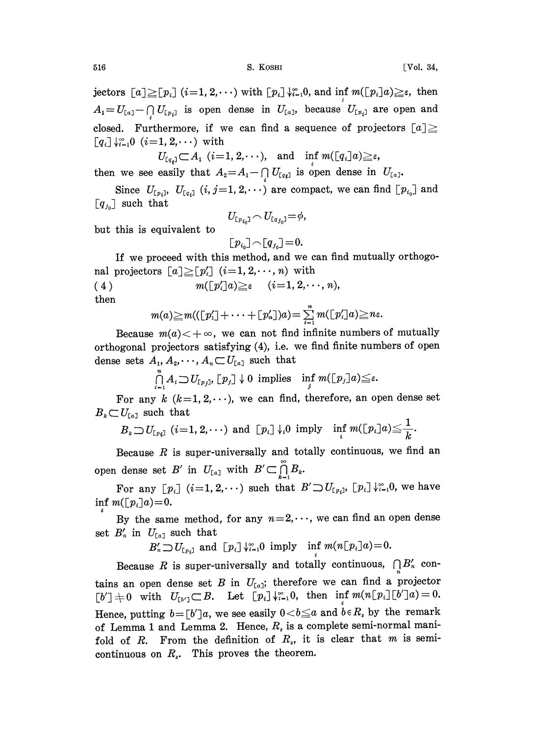jectors  $[a] \geq [p_i]$   $(i=1, 2,...)$  with  $[p_i] \downarrow_{i=1}^{\infty} 0$ , and inf  $m([p_i]a) \geq \varepsilon$ , then  $A_1=U_{[a_1]}-\bigcap U_{[p_i]}$  is open dense in  $U_{[a_1]}$ , because  $U_{[p_i]}$  are open and closed. Furthermore, if we can find a sequence of projectors  $[a] \geq$  $[q_i] \downarrow_{i=1}^{\infty} 0 \ (i=1, 2, \cdots)$  with

$$
U_{[a_i]} \subset A_1 \ \ (i=1, 2, \cdots), \quad \text{and} \quad \inf_i m([a_i]a) \geq \varepsilon,
$$

then we see easily that  $A_2 = A_1 - \bigcap_{i} U_{\lceil a_i \rceil}$  is open dense in  $U_{\lceil a_i \rceil}$ .

Since  $U_{[p_i]}$ ,  $U_{[q_i]}$   $(i, j=1, 2, \dots)$  are compact, we can find  $[p_{i_0}]$  and  $[q_{i_0}]$  such that

$$
U_{\mathfrak{[}p_{i_0}\mathfrak{]}}\!\curvearrowright\! U_{\mathfrak{[}q_{j_0}\mathfrak{]}}\!=\!\phi,
$$

but this is equivalent to

$$
\textcolor{black}{\textcolor{black}{\big[} p_{i_0} \textcolor{black}{\big]} \! \curvearrowright \textcolor{black}{\textcolor{black}{\big[} q_{j_0} \textcolor{black}{\big]}} \! = \! 0.
$$

If we proceed with this method, and we can find mutually orthogonal projectors  $[a] \geq [p']$   $(i=1, 2, \dots, n)$  with

( 4 )  $m(\lceil p'_i \rceil a) \geq \varepsilon \quad (i=1, 2, \dots, n),$ then

$$
m(a) \geq m((\lfloor p'_1 \rfloor + \cdots + \lfloor p'_n \rfloor)a) = \sum_{i=1}^n m(\lfloor p'_i \rfloor a) \geq n\varepsilon.
$$

Because  $m(a)$   $<$   $+\infty$ , we can not find infinite numbers of mutually orthogonal projectors satisfying  $(4)$ , i.e. we find finite numbers of open dense sets  $A_1, A_2, \dots, A_n \subset U_{[a]}$  such that

 $\bigcap_{i=1}^n A_i \bigcup U_{\lceil p_j \rceil}, \lceil p_j \rceil \downarrow 0$  implies  $\inf_j m(\lceil p_j \rceil a) \leq \varepsilon.$ 

For any  $k$  ( $k=1, 2, \dots$ ), we can find, therefore, an open dense set  $B_k \subset U_{[a]}$  such that

$$
B_{\imath}\mathop{\supset}_{U_{\llbracket \nu_i\rrbracket}}(i\!=\!1,2,\cdots) \ \text{ and }\ [\,p_{\imath}]\,\mathop{\downarrow}\nolimits_i 0\ \text{ imply }\quad \!\!\inf_i m([\,p_{\imath}\,]\!)a)\!\leq\!\frac{1}{k}.
$$

Because  $R$  is super-universally and totally continuous, we find an open dense set  $B'$  in  $U_{a_1}$  with  $B' \subset \bigcap_{k=1}^{\infty} B_k$ .

For any  $[p_i]$   $(i=1, 2, \dots)$  such that  $B' \supset U_{[p_i]}$ ,  $[p_i] \downarrow_{i=1}^{\infty} 0$ , we have inf  $m(\lfloor p_i\rfloor a)=0$ .

By the same method, for any  $n=2,\dots$ , we can find an open dense set  $B'_n$  in  $U_{[a]}$  such that

 $B'_n \supset U_{[p_i]}$  and  $[p_i] \downarrow_{i=1}^{\infty} 0$  imply inf  $m(n[p_i]a)=0$ .

Because R is super-universally and totally continuous,  $\bigcap B'_n$  contains an open dense set B in  $U_{[a]}$ ; therefore we can find a projector  $[b'] \neq 0$  with  $U_{[b']}\subset B$ . Let  $[p_i]\downarrow_{i=1}^{\infty}0$ , then  $\inf m(n[p_i][b']a) = 0$ . Hence, putting  $b = [b']a$ , we see easily  $0 < b \leq a$  and  $\dot{b} \in R_s$  by the remark of Lemma 1 and Lemma 2. Hence,  $R_s$  is a complete semi-normal manifold of  $R$ . From the definition of  $R_s$ , it is clear that  $m$  is semicontinuous on  $R_s$ . This proves the theorem.